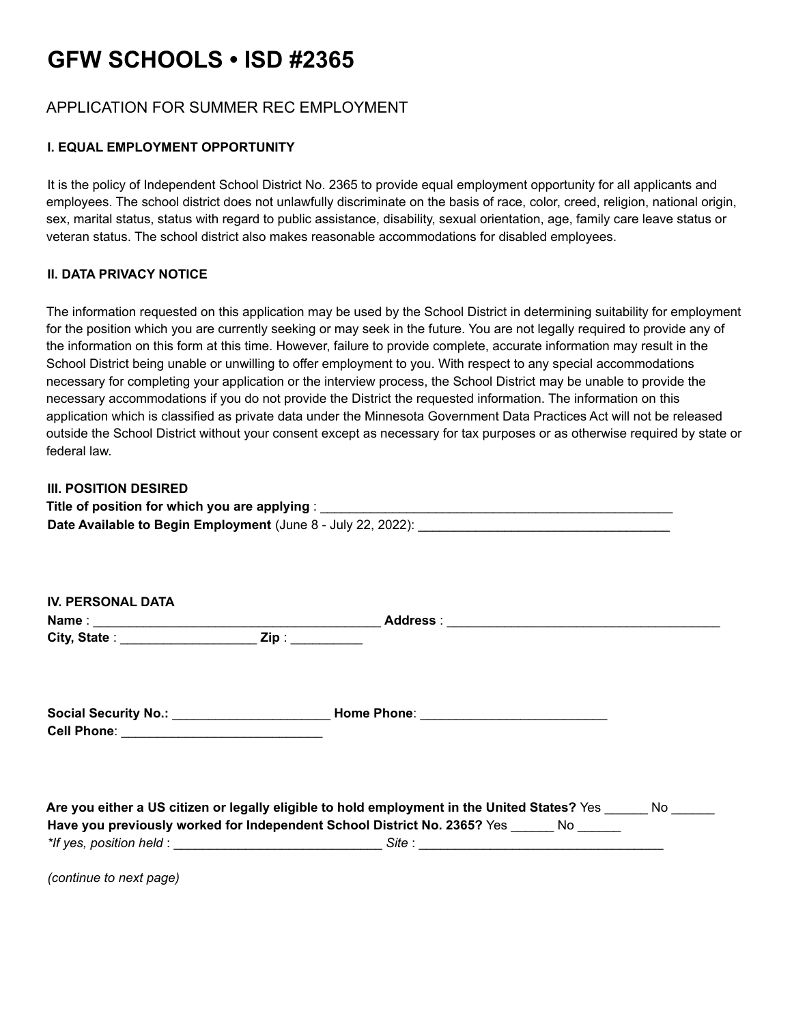# **GFW SCHOOLS • ISD #2365**

# APPLICATION FOR SUMMER REC EMPLOYMENT

## **I. EQUAL EMPLOYMENT OPPORTUNITY**

It is the policy of Independent School District No. 2365 to provide equal employment opportunity for all applicants and employees. The school district does not unlawfully discriminate on the basis of race, color, creed, religion, national origin, sex, marital status, status with regard to public assistance, disability, sexual orientation, age, family care leave status or veteran status. The school district also makes reasonable accommodations for disabled employees.

### **II. DATA PRIVACY NOTICE**

The information requested on this application may be used by the School District in determining suitability for employment for the position which you are currently seeking or may seek in the future. You are not legally required to provide any of the information on this form at this time. However, failure to provide complete, accurate information may result in the School District being unable or unwilling to offer employment to you. With respect to any special accommodations necessary for completing your application or the interview process, the School District may be unable to provide the necessary accommodations if you do not provide the District the requested information. The information on this application which is classified as private data under the Minnesota Government Data Practices Act will not be released outside the School District without your consent except as necessary for tax purposes or as otherwise required by state or federal law.

#### **III. POSITION DESIRED**

| Title of position for which you are applying :               |
|--------------------------------------------------------------|
| Date Available to Begin Employment (June 8 - July 22, 2022): |

| <b>IV. PERSONAL DATA</b> |                                                                                                     |
|--------------------------|-----------------------------------------------------------------------------------------------------|
|                          | City, State : ___________________________Zip : _____________                                        |
|                          |                                                                                                     |
|                          |                                                                                                     |
|                          |                                                                                                     |
|                          |                                                                                                     |
|                          | Are you either a US citizen or legally eligible to hold employment in the United States? Yes No     |
|                          | Have you previously worked for Independent School District No. 2365? Yes No                         |
|                          | *If yes, position held : __________________________________Site : _________________________________ |

*(continue to next page)*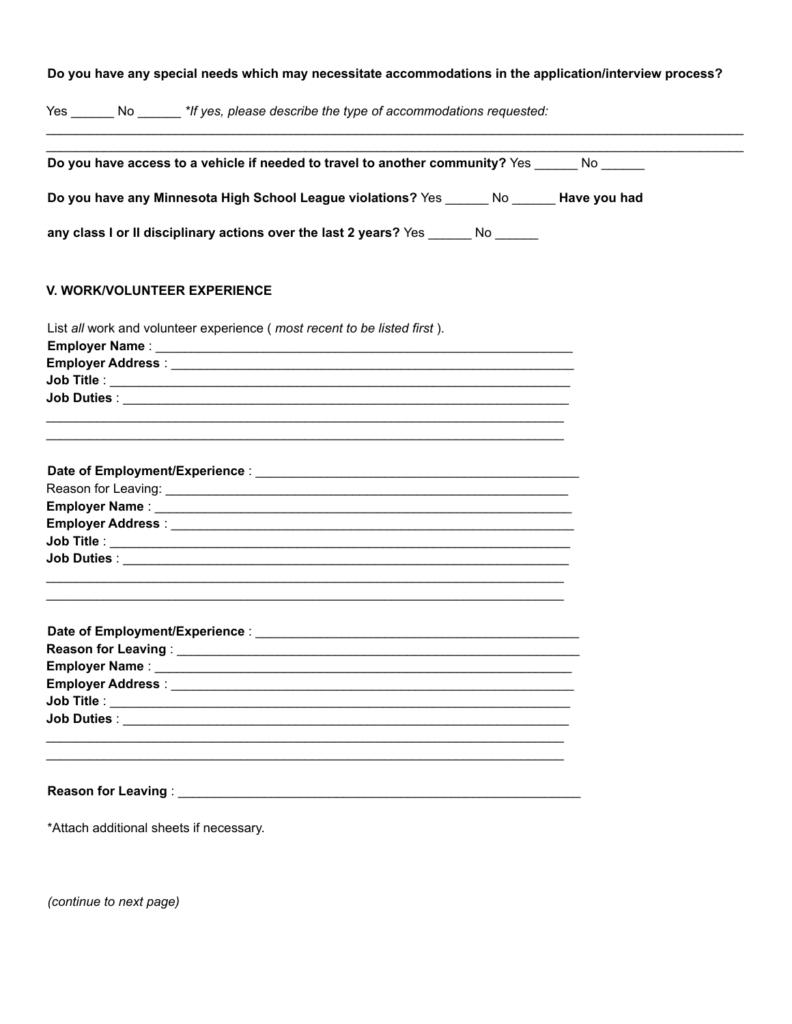## Do you have any special needs which may necessitate accommodations in the application/interview process?

Yes \_\_\_\_\_\_\_ No \_\_\_\_\_\_\_ \*If yes, please describe the type of accommodations requested:

| Do you have access to a vehicle if needed to travel to another community? Yes _______ No ______                       |  |
|-----------------------------------------------------------------------------------------------------------------------|--|
| Do you have any Minnesota High School League violations? Yes _______ No _______ Have you had                          |  |
| any class I or II disciplinary actions over the last 2 years? Yes ______ No _____                                     |  |
| <b>V. WORK/VOLUNTEER EXPERIENCE</b>                                                                                   |  |
| List all work and volunteer experience (most recent to be listed first).                                              |  |
|                                                                                                                       |  |
|                                                                                                                       |  |
|                                                                                                                       |  |
| <u> 1989 - Johann Barn, mars an t-Amerikaansk komponister (* 1908)</u>                                                |  |
|                                                                                                                       |  |
|                                                                                                                       |  |
|                                                                                                                       |  |
|                                                                                                                       |  |
| <u> 1989 - Johann Harry Harry Harry Harry Harry Harry Harry Harry Harry Harry Harry Harry Harry Harry Harry Harry</u> |  |
|                                                                                                                       |  |
|                                                                                                                       |  |
|                                                                                                                       |  |
|                                                                                                                       |  |
|                                                                                                                       |  |
|                                                                                                                       |  |
| Reason for Leaving: Network and Season for Leaving:                                                                   |  |
| *Attach additional sheets if necessary.                                                                               |  |

(continue to next page)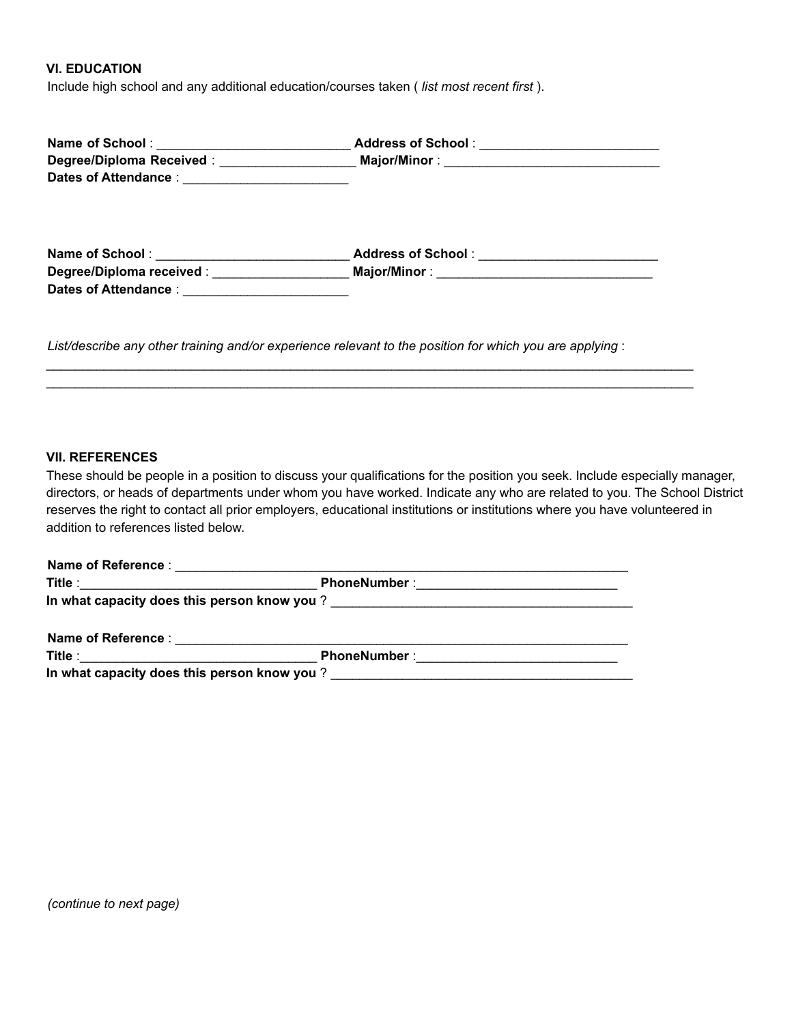**VI. EDUCATION**

Include high school and any additional education/courses taken ( *list most recent first* ).

| Name of School : ________________________________Address of School : ____________<br>Dates of Attendance : __________________________ |  |
|---------------------------------------------------------------------------------------------------------------------------------------|--|
| Name of School : ______________________________Address of School : _____________                                                      |  |
| Degree/Diploma received: __________________________________Major/Minor: ___________________________                                   |  |
|                                                                                                                                       |  |
|                                                                                                                                       |  |
|                                                                                                                                       |  |

*List/describe any other training and/or experience relevant to the position for which you are applying* :

 $\_$  ,  $\_$  ,  $\_$  ,  $\_$  ,  $\_$  ,  $\_$  ,  $\_$  ,  $\_$  ,  $\_$  ,  $\_$  ,  $\_$  ,  $\_$  ,  $\_$  ,  $\_$  ,  $\_$  ,  $\_$  ,  $\_$  ,  $\_$  ,  $\_$  ,  $\_$  ,  $\_$  ,  $\_$  ,  $\_$  ,  $\_$  ,  $\_$  ,  $\_$  ,  $\_$  ,  $\_$  ,  $\_$  ,  $\_$  ,  $\_$  ,  $\_$  ,  $\_$  ,  $\_$  ,  $\_$  ,  $\_$  ,  $\_$  ,  $\_$  ,  $\_$  ,  $\_$  ,  $\_$  ,  $\_$  ,  $\_$  ,  $\_$  ,  $\_$  ,  $\_$  ,  $\_$  ,  $\_$  ,  $\_$  ,  $\_$  ,  $\_$  ,  $\_$  ,  $\_$  ,  $\_$  ,  $\_$  ,  $\_$  ,  $\_$  ,  $\_$  ,  $\_$  ,  $\_$  ,  $\_$  ,  $\_$  ,  $\_$  ,  $\_$  ,  $\_$  ,  $\_$  ,  $\_$  ,  $\_$  ,  $\_$  ,  $\_$  ,  $\_$  ,  $\_$  ,  $\_$  ,  $\_$  ,

#### **VII. REFERENCES**

These should be people in a position to discuss your qualifications for the position you seek. Include especially manager, directors, or heads of departments under whom you have worked. Indicate any who are related to you. The School District reserves the right to contact all prior employers, educational institutions or institutions where you have volunteered in addition to references listed below.

|                                          | PhoneNumber : ________________________________                                                                                                                                                                                 |  |
|------------------------------------------|--------------------------------------------------------------------------------------------------------------------------------------------------------------------------------------------------------------------------------|--|
|                                          |                                                                                                                                                                                                                                |  |
|                                          | Name of Reference : and the state of the state of the state of the state of the state of the state of the state of the state of the state of the state of the state of the state of the state of the state of the state of the |  |
| Title : ________________________________ |                                                                                                                                                                                                                                |  |

**In what capacity does this person know you** ? \_\_\_\_\_\_\_\_\_\_\_\_\_\_\_\_\_\_\_\_\_\_\_\_\_\_\_\_\_\_\_\_\_\_\_\_\_\_\_\_\_\_